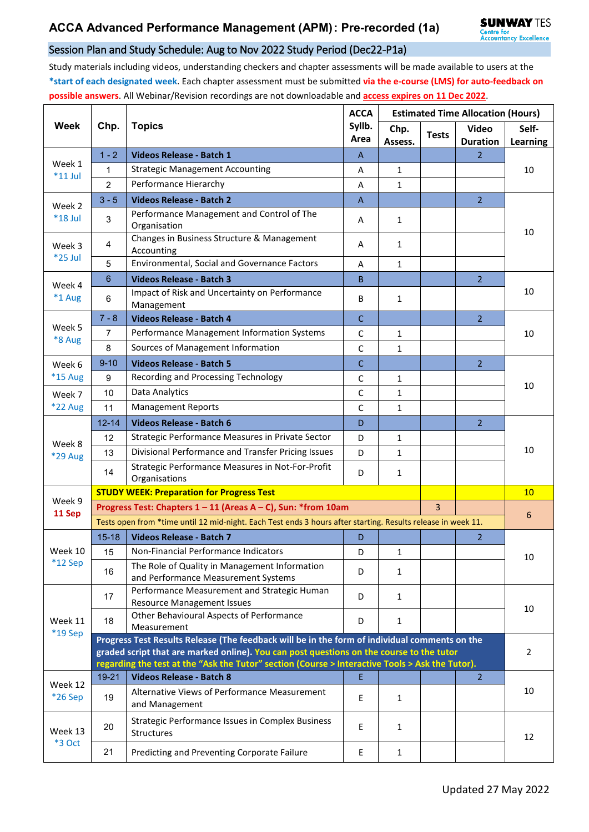## Session Plan and Study Schedule: Aug to Nov 2022 Study Period (Dec22-P1a)

Study materials including videos, understanding checkers and chapter assessments will be made available to users at the **\*start of each designated week**. Each chapter assessment must be submitted **via the e-course (LMS) for auto-feedback on possible answers**. All Webinar/Revision recordings are not downloadable and **access expires on 11 Dec 2022**.

| Week                     | Chp.                                                                                                                                             | <b>Topics</b>                                                                                                | <b>ACCA</b><br>Syllb.<br>Area | <b>Estimated Time Allocation (Hours)</b> |              |                                 |                   |  |  |
|--------------------------|--------------------------------------------------------------------------------------------------------------------------------------------------|--------------------------------------------------------------------------------------------------------------|-------------------------------|------------------------------------------|--------------|---------------------------------|-------------------|--|--|
|                          |                                                                                                                                                  |                                                                                                              |                               | Chp.<br>Assess.                          | <b>Tests</b> | <b>Video</b><br><b>Duration</b> | Self-<br>Learning |  |  |
| Week 1<br>$*11$ Jul      | $1 - 2$                                                                                                                                          | Videos Release - Batch 1                                                                                     | A                             |                                          |              | $\overline{2}$                  | 10                |  |  |
|                          | 1                                                                                                                                                | <b>Strategic Management Accounting</b>                                                                       | A                             | 1                                        |              |                                 |                   |  |  |
|                          | $\overline{2}$                                                                                                                                   | Performance Hierarchy                                                                                        | A                             | $\mathbf{1}$                             |              |                                 |                   |  |  |
| Week 2<br>*18 Jul        | $3 - 5$                                                                                                                                          | <b>Videos Release - Batch 2</b>                                                                              | $\boldsymbol{\mathsf{A}}$     |                                          |              | $\overline{2}$                  | 10                |  |  |
|                          | 3                                                                                                                                                | Performance Management and Control of The<br>Organisation                                                    | Α                             | $\mathbf{1}$                             |              |                                 |                   |  |  |
| Week 3<br>*25 Jul        | 4                                                                                                                                                | Changes in Business Structure & Management<br>Accounting                                                     | A                             | 1                                        |              |                                 |                   |  |  |
|                          | 5                                                                                                                                                | Environmental, Social and Governance Factors                                                                 | A                             | 1                                        |              |                                 |                   |  |  |
| Week 4<br>*1 Aug         | $6\phantom{1}$                                                                                                                                   | <b>Videos Release - Batch 3</b>                                                                              | B                             |                                          |              | $\overline{2}$                  | 10                |  |  |
|                          | 6                                                                                                                                                | Impact of Risk and Uncertainty on Performance<br>Management                                                  | B                             | $\mathbf{1}$                             |              |                                 |                   |  |  |
|                          | $7 - 8$                                                                                                                                          | <b>Videos Release - Batch 4</b>                                                                              | $\mathsf{C}$                  |                                          |              | $\overline{2}$                  | 10                |  |  |
| Week 5<br>*8 Aug         | $\overline{7}$                                                                                                                                   | Performance Management Information Systems                                                                   | $\mathsf{C}$                  | $\mathbf{1}$                             |              |                                 |                   |  |  |
|                          | 8                                                                                                                                                | Sources of Management Information                                                                            | C                             | 1                                        |              |                                 |                   |  |  |
| Week 6                   | $9 - 10$                                                                                                                                         | <b>Videos Release - Batch 5</b>                                                                              | $\mathsf{C}$                  |                                          |              | $\overline{2}$                  | 10                |  |  |
| *15 Aug                  | 9                                                                                                                                                | Recording and Processing Technology                                                                          | $\mathsf C$                   | 1                                        |              |                                 |                   |  |  |
| Week 7                   | 10                                                                                                                                               | Data Analytics                                                                                               | $\mathsf{C}$                  | $\mathbf{1}$                             |              |                                 |                   |  |  |
| <b>*22 Aug</b>           | 11                                                                                                                                               | <b>Management Reports</b>                                                                                    | C                             | $\mathbf{1}$                             |              |                                 |                   |  |  |
|                          | $12 - 14$                                                                                                                                        | <b>Videos Release - Batch 6</b>                                                                              | D                             |                                          |              | $\overline{2}$                  | 10                |  |  |
|                          | 12                                                                                                                                               | Strategic Performance Measures in Private Sector                                                             | D                             | 1                                        |              |                                 |                   |  |  |
| Week 8<br>*29 Aug        | 13                                                                                                                                               | Divisional Performance and Transfer Pricing Issues                                                           | D                             | $\mathbf{1}$                             |              |                                 |                   |  |  |
|                          | 14                                                                                                                                               | Strategic Performance Measures in Not-For-Profit<br>Organisations                                            | D                             | 1                                        |              |                                 |                   |  |  |
|                          | <b>STUDY WEEK: Preparation for Progress Test</b>                                                                                                 |                                                                                                              |                               |                                          |              |                                 |                   |  |  |
| Week 9                   |                                                                                                                                                  | Progress Test: Chapters 1 - 11 (Areas A - C), Sun: *from 10am                                                |                               | $\overline{3}$                           |              |                                 |                   |  |  |
| 11 Sep                   |                                                                                                                                                  | Tests open from *time until 12 mid-night. Each Test ends 3 hours after starting. Results release in week 11. |                               |                                          | 6            |                                 |                   |  |  |
|                          | $15 - 18$                                                                                                                                        | <b>Videos Release - Batch 7</b>                                                                              | D                             |                                          |              | $\overline{2}$                  |                   |  |  |
| Week 10                  | 15                                                                                                                                               | Non-Financial Performance Indicators                                                                         | D                             | $\mathbf{1}$                             |              |                                 | 10                |  |  |
| $*12$ Sep                | 16                                                                                                                                               | The Role of Quality in Management Information<br>and Performance Measurement Systems                         | D                             | 1                                        |              |                                 |                   |  |  |
| Week 11<br>*19 Sep       | 17                                                                                                                                               | Performance Measurement and Strategic Human<br><b>Resource Management Issues</b>                             | D                             | $\mathbf{1}$                             |              |                                 | 10                |  |  |
|                          | 18                                                                                                                                               | Other Behavioural Aspects of Performance<br>Measurement                                                      | D                             | 1                                        |              |                                 |                   |  |  |
|                          | Progress Test Results Release (The feedback will be in the form of individual comments on the                                                    |                                                                                                              |                               |                                          |              |                                 |                   |  |  |
|                          |                                                                                                                                                  | graded script that are marked online). You can post questions on the course to the tutor                     |                               | $\overline{2}$                           |              |                                 |                   |  |  |
| Week 12<br>*26 Sep       | regarding the test at the "Ask the Tutor" section (Course > Interactive Tools > Ask the Tutor).<br>19-21<br><b>Videos Release - Batch 8</b><br>E |                                                                                                              |                               |                                          |              | $\overline{2}$                  |                   |  |  |
|                          |                                                                                                                                                  | Alternative Views of Performance Measurement                                                                 |                               |                                          |              |                                 | 10                |  |  |
|                          | 19                                                                                                                                               | and Management                                                                                               | E                             | 1                                        |              |                                 |                   |  |  |
| Week 13<br><b>*3 Oct</b> | 20                                                                                                                                               | Strategic Performance Issues in Complex Business<br>Structures                                               | $\mathsf E$                   | 1                                        |              |                                 | 12                |  |  |
|                          | 21                                                                                                                                               | Predicting and Preventing Corporate Failure                                                                  | E                             | $\mathbf{1}$                             |              |                                 |                   |  |  |